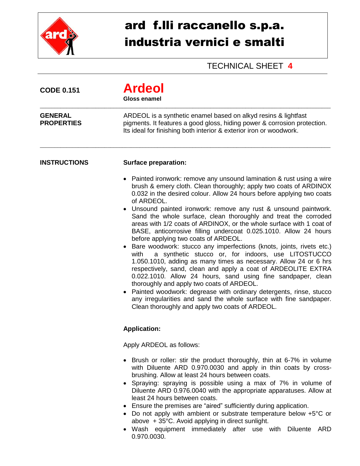

## ard f.lli raccanello s.p.a. industria vernici e smalti

## TECHNICAL SHEET **4**

| <b>CODE 0.151</b>                   | <b>Ardeol</b><br><b>Gloss enamel</b>                                                                                                                                                                                                                                                                                                                                                                                                                                                                                                                                                                                                                                                                                                                                                                                                                                                                                                                                                                                                                                                                                                              |  |  |  |
|-------------------------------------|---------------------------------------------------------------------------------------------------------------------------------------------------------------------------------------------------------------------------------------------------------------------------------------------------------------------------------------------------------------------------------------------------------------------------------------------------------------------------------------------------------------------------------------------------------------------------------------------------------------------------------------------------------------------------------------------------------------------------------------------------------------------------------------------------------------------------------------------------------------------------------------------------------------------------------------------------------------------------------------------------------------------------------------------------------------------------------------------------------------------------------------------------|--|--|--|
| <b>GENERAL</b><br><b>PROPERTIES</b> | ARDEOL is a synthetic enamel based on alkyd resins & lightfast<br>pigments. It features a good gloss, hiding power & corrosion protection.<br>Its ideal for finishing both interior & exterior iron or woodwork.                                                                                                                                                                                                                                                                                                                                                                                                                                                                                                                                                                                                                                                                                                                                                                                                                                                                                                                                  |  |  |  |
| <b>INSTRUCTIONS</b>                 | <b>Surface preparation:</b>                                                                                                                                                                                                                                                                                                                                                                                                                                                                                                                                                                                                                                                                                                                                                                                                                                                                                                                                                                                                                                                                                                                       |  |  |  |
|                                     | Painted ironwork: remove any unsound lamination & rust using a wire<br>brush & emery cloth. Clean thoroughly; apply two coats of ARDINOX<br>0.032 in the desired colour. Allow 24 hours before applying two coats<br>of ARDEOL.<br>• Unsound painted ironwork: remove any rust & unsound paintwork.<br>Sand the whole surface, clean thoroughly and treat the corroded<br>areas with 1/2 coats of ARDINOX, or the whole surface with 1 coat of<br>BASE, anticorrosive filling undercoat 0.025.1010. Allow 24 hours<br>before applying two coats of ARDEOL.<br>Bare woodwork: stucco any imperfections (knots, joints, rivets etc.)<br>a synthetic stucco or, for indoors, use LITOSTUCCO<br>with<br>1.050.1010, adding as many times as necessary. Allow 24 or 6 hrs<br>respectively, sand, clean and apply a coat of ARDEOLITE EXTRA<br>0.022.1010. Allow 24 hours, sand using fine sandpaper, clean<br>thoroughly and apply two coats of ARDEOL.<br>Painted woodwork: degrease with ordinary detergents, rinse, stucco<br>any irregularities and sand the whole surface with fine sandpaper.<br>Clean thoroughly and apply two coats of ARDEOL. |  |  |  |
|                                     | <b>Application:</b>                                                                                                                                                                                                                                                                                                                                                                                                                                                                                                                                                                                                                                                                                                                                                                                                                                                                                                                                                                                                                                                                                                                               |  |  |  |
|                                     | Apply ARDEOL as follows:                                                                                                                                                                                                                                                                                                                                                                                                                                                                                                                                                                                                                                                                                                                                                                                                                                                                                                                                                                                                                                                                                                                          |  |  |  |
|                                     | • Brush or roller: stir the product thoroughly, thin at 6-7% in volume<br>with Diluente ARD 0.970.0030 and apply in thin coats by cross-<br>brushing. Allow at least 24 hours between coats.<br>• Spraying: spraying is possible using a max of 7% in volume of<br>Diluente ARD 0.976.0040 with the appropriate apparatuses. Allow at<br>least 24 hours between coats.<br>• Ensure the premises are "aired" sufficiently during application.<br>• Do not apply with ambient or substrate temperature below +5°C or<br>above + 35°C. Avoid applying in direct sunlight.                                                                                                                                                                                                                                                                                                                                                                                                                                                                                                                                                                            |  |  |  |

 Wash equipment immediately after use with Diluente ARD 0.970.0030.